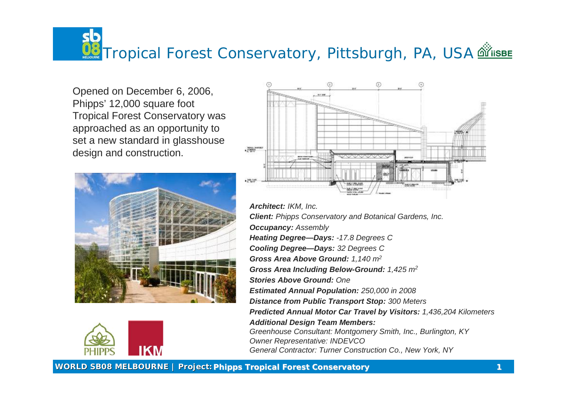**WORLD SB08 MELBOURNE | Project: Phipps Tropical Forest Conservatory 1**

# <u>Wa</u> Tropical Forest Conservatory, Pittsburgh, PA, USA **@ Tropical Forest Conservatory**, Pittsburgh, PA, USA







Opened on December 6, 2006, Phipps' 12,000 square foot Tropical Forest Conservatory was approached as an opportunity to set a new standard in glasshouse design and construction.





*Architect: IKM, Inc. Client: Phipps Conservatory and Botanical Gardens, Inc. Occupancy: Assembly Heating Degree—Days: -17.8 Degrees C Cooling Degree—Days: 32 Degrees C Gross Area Above Ground: 1,140 m<sup>2</sup> Gross Area Including Below-Ground: 1,425 m<sup>2</sup> Stories Above Ground: One Estimated Annual Population: 250,000 in 2008 Distance from Public Transport Stop: 300 Meters Predicted Annual Motor Car Travel by Visitors: 1,436,204 Kilometers Additional Design Team Members: Greenhouse Consultant: Montgomery Smith, Inc., Burlington, KY Owner Representative: INDEVCO*



*General Contractor: Turner Construction Co., New York, NY*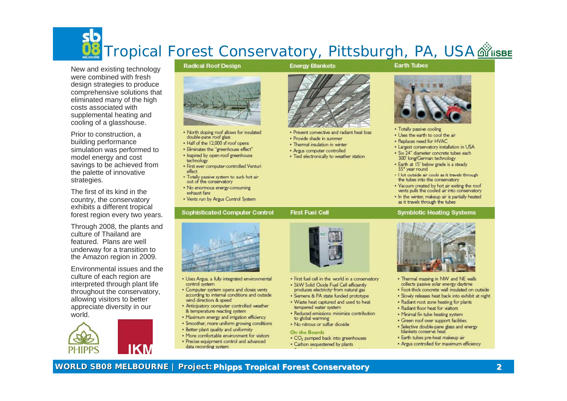

New and existing technology were combined with fresh design strategies to produce comprehensive solutions that eliminated many of the high costs associated with supplemental heating and cooling of a glasshouse.

Prior to construction, a building performance simulation was performed to model energy and cost savings to be achieved from the palette of innovative strategies.

The first of its kind in the country, the conservatory exhibits a different tropical forest region every two years.

Through 2008, the plants and culture of Thailand are featured. Plans are well underway for a transition to the Amazon region in 2009.

Environmental issues and the culture of each region are interpreted through plant life throughout the conservatory, allowing visitors to better appreciate diversity in our world.







- double-pane roof glass
- 
- 
- technology
- effect
- out of the conservatory
- exhaust fans
- 

## **Sophisticated Computer Control**



- . Uses Argus, a fully integrated environmental control system
- . Computer system opens and doses vents according to internal conditions and outside wind direction & speed
- . Anticipatory computer controlled weather & temperature reacting system
- . Maximum energy and irrigation efficiency · Smoother, more uniform growing conditions
- 
- . Better plant quality and uniformity
- . More comfortable environment for visitors . Precise equipment control and advanced
- data recording system

# Tropical Forest Conservatory, Pittsburgh, PA, USA divisве

### **Radical Roof Design**



. North sloping roof allows for insulated • Half of the 12,000 sf roof opens · Eliminates the "greenhouse effect" . Inspired by open-roof greenhouse

· First ever computer-controlled Venturi

. Totally passive system to suck hot air . No enormous energy-consuming

• Vents run by Argus Control System



- . Prevent convective and radiant heat loss
- · Provide shade in summer
- . Thermal insulation in winter
- · Argus computer controlled
- . Tied electronically to weather station

# **Earth Tubes**



- . Totally passive cooling
- . Uses the earth to cool the air
- · Replaces need for HVAC
- 
- 300' long/German technology
- 55° year round
- 
- 
- as it travels through the tubes

### **Symbiotic Heating Systems**

## **First Fuel Cell**



- . First fuel cell in the world in a conservatory
- . 5kW Solid Oxide Fuel Cell efficiently produces electricity from natural gas
- · Siemens & PA state funded prototype
- . Waste heat captured and used to heat tempered water system
- · Reduced emissions minimize contribution to global warming
- . No nitrous or sulfur dioxide

### On the Boards

- . CO<sub>2</sub> pumped back into greenhouses
- . Carbon sequestered by plants



- 
- 
- 
- 
- 
- 
- blankets conserve heat
- 
- 

# WORLD SB08 MELBOURNE | Project: Phipps Tropical Forest Conservatory



· Largest conservatory installation in USA · Six 24" diameter concrete tubes each . Earth at 15' below grade is a steady

. I lot outside air cools as it travels through the tubes into the conservatory . Vacuum created by hot air exiting the roof vents pulls the cooled air into conservatory . In the winter, makeup air is partially heated

. Thermal massing in NW and NE walls collects passive solar energy daytime . Foot-thick concrete wall insulated on outside . Slowly releases heat back into exhibit at night . Radiant root zone heating for plants . Radiant floor heat for visitors . Minimal fin tube heating system · Green roof over support facilities · Selective double-pane glass and energy · Earth tubes pre-heat makeup air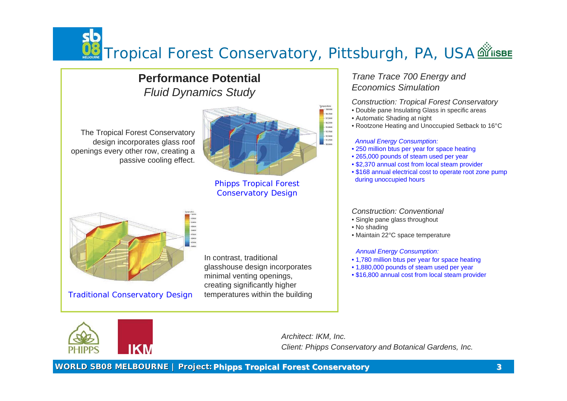**WORLD SB08 MELBOURNE | Project: Phipps Tropical Forest Conservatory 3**

# Tropical Forest Conservatory, Pittsburgh, PA, USA

The Tropical Forest Conservatory design incorporates glass roof openings every other row, creating a passive cooling effect.



# *Trane Trace 700 Energy and Economics Simulation*

# *Construction: Tropical Forest Conservatory*

- Double pane Insulating Glass in specific areas
- Automatic Shading at night
- Rootzone Heating and Unoccupied Setback to 16°C

- Single pane glass throughout
- No shading
- Maintain 22°C space temperature

## *Annual Energy Consumption:*

- 250 million btus per year for space heating
- 265,000 pounds of steam used per year
- \$2,370 annual cost from local steam provider
- during unoccupied hours

• \$168 annual electrical cost to operate root zone pump

# *Construction: Conventional*

## *Annual Energy Consumption:*

- 1,780 million btus per year for space heating
- 1,880,000 pounds of steam used per year
- \$16,800 annual cost from local steam provider

*Architect: IKM, Inc. Client: Phipps Conservatory and Botanical Gardens, Inc.*







Phipps Tropical Forest Conservatory Design

In contrast, traditional glasshouse design incorporates minimal venting openings, creating significantly higher temperatures within the building



# **Performance Potential** *Fluid Dynamics Study*